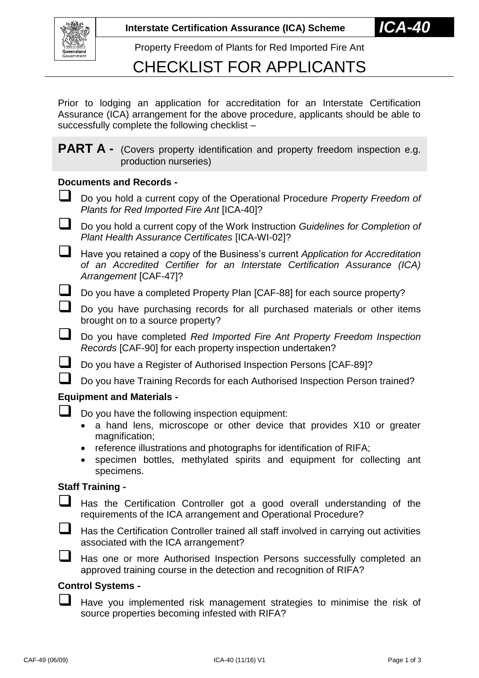

Property Freedom of Plants for Red Imported Fire Ant

## CHECKLIST FOR APPLICANTS

Prior to lodging an application for accreditation for an Interstate Certification Assurance (ICA) arrangement for the above procedure, applicants should be able to successfully complete the following checklist –

| <b>PART A -</b> (Covers property identification and property freedom inspection e.g. |  |  |  |
|--------------------------------------------------------------------------------------|--|--|--|
| production nurseries)                                                                |  |  |  |

#### **Documents and Records -**

- Do you hold a current copy of the Operational Procedure *Property Freedom of Plants for Red Imported Fire Ant* [ICA-40]?
- Do you hold a current copy of the Work Instruction *Guidelines for Completion of Plant Health Assurance Certificates* [ICA-WI-02]?
- Have you retained a copy of the Business's current *Application for Accreditation of an Accredited Certifier for an Interstate Certification Assurance (ICA) Arrangement* [CAF-47]?
- Do you have a completed Property Plan [CAF-88] for each source property?
- Do you have purchasing records for all purchased materials or other items brought on to a source property?
- Do you have completed *Red Imported Fire Ant Property Freedom Inspection Records* [CAF-90] for each property inspection undertaken?
- Do you have a Register of Authorised Inspection Persons [CAF-89]?
- Do you have Training Records for each Authorised Inspection Person trained?

### **Equipment and Materials -**

- Do you have the following inspection equipment:
	- a hand lens, microscope or other device that provides X10 or greater magnification;
	- reference illustrations and photographs for identification of RIFA;
	- specimen bottles, methylated spirits and equipment for collecting ant specimens.

### **Staff Training -**

- Has the Certification Controller got a good overall understanding of the requirements of the ICA arrangement and Operational Procedure?
- $\Box$  Has the Certification Controller trained all staff involved in carrying out activities associated with the ICA arrangement?

 Has one or more Authorised Inspection Persons successfully completed an approved training course in the detection and recognition of RIFA?

### **Control Systems -**

 $\Box$  Have you implemented risk management strategies to minimise the risk of source properties becoming infested with RIFA?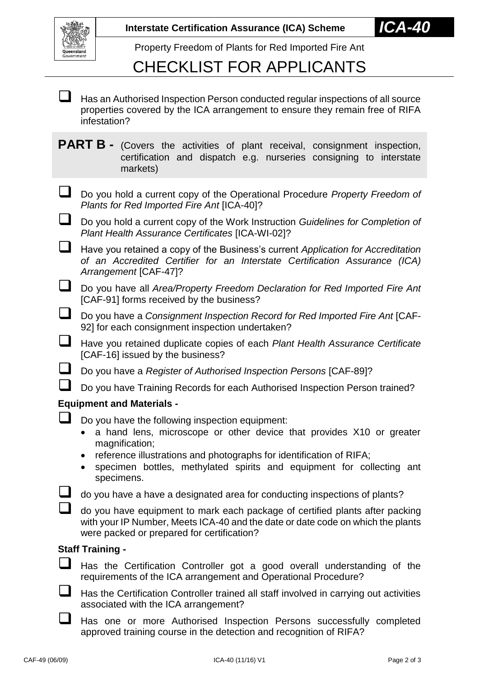|                                  |                        | <b>Interstate Certification Assurance (ICA) Scheme</b>                                                                                                                                                                                                                                                  | <b>ICA-40</b> |  |  |
|----------------------------------|------------------------|---------------------------------------------------------------------------------------------------------------------------------------------------------------------------------------------------------------------------------------------------------------------------------------------------------|---------------|--|--|
|                                  |                        | Property Freedom of Plants for Red Imported Fire Ant                                                                                                                                                                                                                                                    |               |  |  |
|                                  | Government             | <b>CHECKLIST FOR APPLICANTS</b>                                                                                                                                                                                                                                                                         |               |  |  |
|                                  |                        | Has an Authorised Inspection Person conducted regular inspections of all source<br>properties covered by the ICA arrangement to ensure they remain free of RIFA<br>infestation?                                                                                                                         |               |  |  |
|                                  |                        | <b>PART B -</b> (Covers the activities of plant receival, consignment inspection,<br>certification and dispatch e.g. nurseries consigning to interstate<br>markets)                                                                                                                                     |               |  |  |
|                                  |                        | Do you hold a current copy of the Operational Procedure Property Freedom of<br>Plants for Red Imported Fire Ant [ICA-40]?                                                                                                                                                                               |               |  |  |
|                                  |                        | Do you hold a current copy of the Work Instruction Guidelines for Completion of<br>Plant Health Assurance Certificates [ICA-WI-02]?                                                                                                                                                                     |               |  |  |
|                                  |                        | Have you retained a copy of the Business's current Application for Accreditation<br>of an Accredited Certifier for an Interstate Certification Assurance (ICA)<br>Arrangement [CAF-47]?                                                                                                                 |               |  |  |
|                                  |                        | Do you have all Area/Property Freedom Declaration for Red Imported Fire Ant<br>[CAF-91] forms received by the business?                                                                                                                                                                                 |               |  |  |
|                                  |                        | Do you have a Consignment Inspection Record for Red Imported Fire Ant [CAF-<br>92] for each consignment inspection undertaken?                                                                                                                                                                          |               |  |  |
|                                  |                        | Have you retained duplicate copies of each Plant Health Assurance Certificate<br>[CAF-16] issued by the business?                                                                                                                                                                                       |               |  |  |
|                                  |                        | Do you have a Register of Authorised Inspection Persons [CAF-89]?                                                                                                                                                                                                                                       |               |  |  |
|                                  |                        | Do you have Training Records for each Authorised Inspection Person trained?                                                                                                                                                                                                                             |               |  |  |
| <b>Equipment and Materials -</b> |                        |                                                                                                                                                                                                                                                                                                         |               |  |  |
|                                  | $\bullet$<br>$\bullet$ | Do you have the following inspection equipment:<br>a hand lens, microscope or other device that provides X10 or greater<br>magnification;<br>reference illustrations and photographs for identification of RIFA;<br>specimen bottles, methylated spirits and equipment for collecting ant<br>specimens. |               |  |  |
|                                  |                        | do you have a have a designated area for conducting inspections of plants?                                                                                                                                                                                                                              |               |  |  |
|                                  |                        | do you have equipment to mark each package of certified plants after packing<br>with your IP Number, Meets ICA-40 and the date or date code on which the plants<br>were packed or prepared for certification?                                                                                           |               |  |  |
|                                  |                        | <b>Staff Training -</b>                                                                                                                                                                                                                                                                                 |               |  |  |
|                                  |                        | Has the Certification Controller got a good overall understanding of the<br>requirements of the ICA arrangement and Operational Procedure?                                                                                                                                                              |               |  |  |
|                                  |                        | Has the Certification Controller trained all staff involved in carrying out activities<br>associated with the ICA arrangement?                                                                                                                                                                          |               |  |  |
|                                  |                        | Has one or more Authorised Inspection Persons successfully completed                                                                                                                                                                                                                                    |               |  |  |

approved training course in the detection and recognition of RIFA?